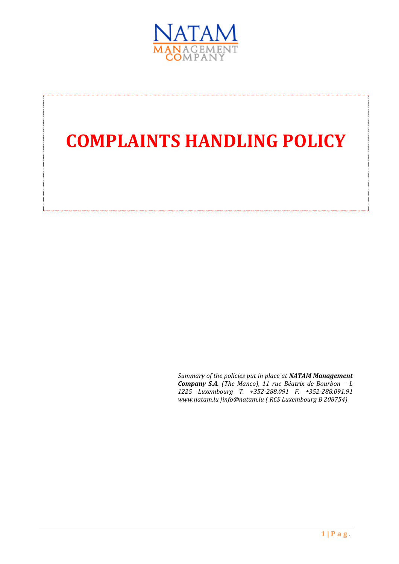

# **COMPLAINTS HANDLING POLICY**

*Summary of the policies put in place at NATAM Management Company S.A. (The Manco), 11 rue Béatrix de Bourbon – L 1225 Luxembourg T. +352-288.091 F. +352-288.091.91 www.natam.lu |info@natam.lu ( RCS Luxembourg B 208754)*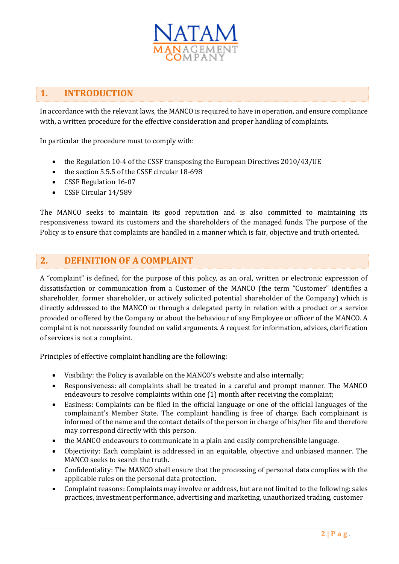

# **1. INTRODUCTION**

In accordance with the relevant laws, the MANCO is required to have in operation, and ensure compliance with, a written procedure for the effective consideration and proper handling of complaints.

In particular the procedure must to comply with:

- the Regulation 10-4 of the CSSF transposing the European Directives 2010/43/UE
- the section 5.5.5 of the CSSF circular 18-698
- CSSF Regulation 16-07
- CSSF Circular 14/589

The MANCO seeks to maintain its good reputation and is also committed to maintaining its responsiveness toward its customers and the shareholders of the managed funds. The purpose of the Policy is to ensure that complaints are handled in a manner which is fair, objective and truth oriented.

### **2. DEFINITION OF A COMPLAINT**

A "complaint" is defined, for the purpose of this policy, as an oral, written or electronic expression of dissatisfaction or communication from a Customer of the MANCO (the term "Customer" identifies a shareholder, former shareholder, or actively solicited potential shareholder of the Company) which is directly addressed to the MANCO or through a delegated party in relation with a product or a service provided or offered by the Company or about the behaviour of any Employee or officer of the MANCO. A complaint is not necessarily founded on valid arguments. A request for information, advices, clarification of services is not a complaint.

Principles of effective complaint handling are the following:

- Visibility: the Policy is available on the MANCO's website and also internally;
- Responsiveness: all complaints shall be treated in a careful and prompt manner. The MANCO endeavours to resolve complaints within one (1) month after receiving the complaint;
- Easiness: Complaints can be filed in the official language or one of the official languages of the complainant's Member State. The complaint handling is free of charge. Each complainant is informed of the name and the contact details of the person in charge of his/her file and therefore may correspond directly with this person.
- the MANCO endeavours to communicate in a plain and easily comprehensible language.
- Objectivity: Each complaint is addressed in an equitable, objective and unbiased manner. The MANCO seeks to search the truth.
- Confidentiality: The MANCO shall ensure that the processing of personal data complies with the applicable rules on the personal data protection.
- Complaint reasons: Complaints may involve or address, but are not limited to the following: sales practices, investment performance, advertising and marketing, unauthorized trading, customer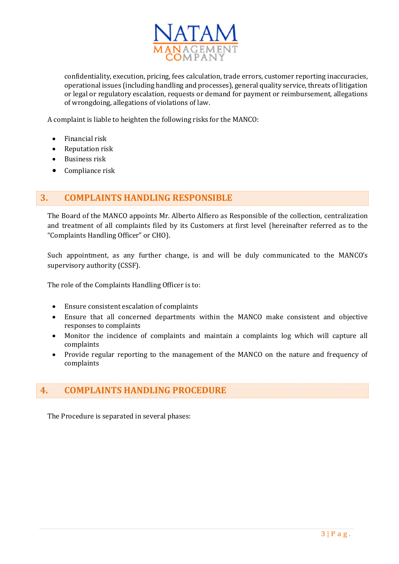

confidentiality, execution, pricing, fees calculation, trade errors, customer reporting inaccuracies, operational issues (including handling and processes), general quality service, threats of litigation or legal or regulatory escalation, requests or demand for payment or reimbursement, allegations of wrongdoing, allegations of violations of law.

A complaint is liable to heighten the following risks for the MANCO:

- Financial risk
- Reputation risk
- Business risk
- Compliance risk

#### **3. COMPLAINTS HANDLING RESPONSIBLE**

The Board of the MANCO appoints Mr. Alberto Alfiero as Responsible of the collection, centralization and treatment of all complaints filed by its Customers at first level (hereinafter referred as to the "Complaints Handling Officer" or CHO).

Such appointment, as any further change, is and will be duly communicated to the MANCO's supervisory authority (CSSF).

The role of the Complaints Handling Officer is to:

- Ensure consistent escalation of complaints
- Ensure that all concerned departments within the MANCO make consistent and objective responses to complaints
- Monitor the incidence of complaints and maintain a complaints log which will capture all complaints
- Provide regular reporting to the management of the MANCO on the nature and frequency of complaints

## **4. COMPLAINTS HANDLING PROCEDURE**

The Procedure is separated in several phases: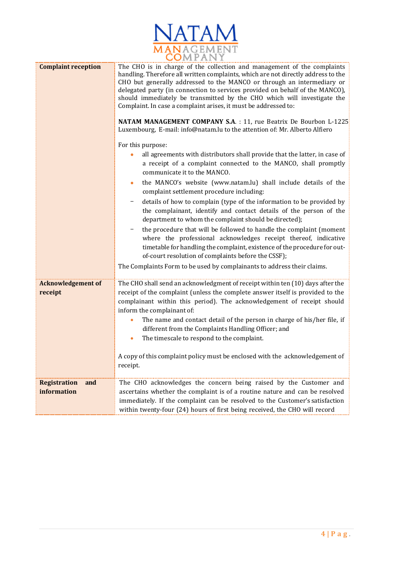| NATAM                          |
|--------------------------------|
| <i><b>IANAGEMENT</b></i><br>PА |

| <b>Complaint reception</b>                | The CHO is in charge of the collection and management of the complaints<br>handling. Therefore all written complaints, which are not directly address to the<br>CHO but generally addressed to the MANCO or through an intermediary or<br>delegated party (in connection to services provided on behalf of the MANCO),<br>should immediately be transmitted by the CHO which will investigate the<br>Complaint. In case a complaint arises, it must be addressed to:<br>NATAM MANAGEMENT COMPANY S.A. : 11, rue Beatrix De Bourbon L-1225<br>Luxembourg, E-mail: info@natam.lu to the attention of: Mr. Alberto Alfiero<br>For this purpose:<br>all agreements with distributors shall provide that the latter, in case of<br>a receipt of a complaint connected to the MANCO, shall promptly<br>communicate it to the MANCO.<br>the MANCO's website (www.natam.lu) shall include details of the<br>۰<br>complaint settlement procedure including:<br>details of how to complain (type of the information to be provided by<br>the complainant, identify and contact details of the person of the<br>department to whom the complaint should be directed);<br>the procedure that will be followed to handle the complaint (moment<br>where the professional acknowledges receipt thereof, indicative<br>timetable for handling the complaint, existence of the procedure for out-<br>of-court resolution of complaints before the CSSF);<br>The Complaints Form to be used by complainants to address their claims. |
|-------------------------------------------|---------------------------------------------------------------------------------------------------------------------------------------------------------------------------------------------------------------------------------------------------------------------------------------------------------------------------------------------------------------------------------------------------------------------------------------------------------------------------------------------------------------------------------------------------------------------------------------------------------------------------------------------------------------------------------------------------------------------------------------------------------------------------------------------------------------------------------------------------------------------------------------------------------------------------------------------------------------------------------------------------------------------------------------------------------------------------------------------------------------------------------------------------------------------------------------------------------------------------------------------------------------------------------------------------------------------------------------------------------------------------------------------------------------------------------------------------------------------------------------------------------------------|
| <b>Acknowledgement of</b><br>receipt      | The CHO shall send an acknowledgment of receipt within ten (10) days after the<br>receipt of the complaint (unless the complete answer itself is provided to the<br>complainant within this period). The acknowledgement of receipt should<br>inform the complainant of:<br>The name and contact detail of the person in charge of his/her file, if<br>different from the Complaints Handling Officer; and<br>The timescale to respond to the complaint.<br>A copy of this complaint policy must be enclosed with the acknowledgement of<br>receipt.                                                                                                                                                                                                                                                                                                                                                                                                                                                                                                                                                                                                                                                                                                                                                                                                                                                                                                                                                                |
| <b>Registration</b><br>and<br>information | The CHO acknowledges the concern being raised by the Customer and<br>ascertains whether the complaint is of a routine nature and can be resolved<br>immediately. If the complaint can be resolved to the Customer's satisfaction<br>within twenty-four (24) hours of first being received, the CHO will record                                                                                                                                                                                                                                                                                                                                                                                                                                                                                                                                                                                                                                                                                                                                                                                                                                                                                                                                                                                                                                                                                                                                                                                                      |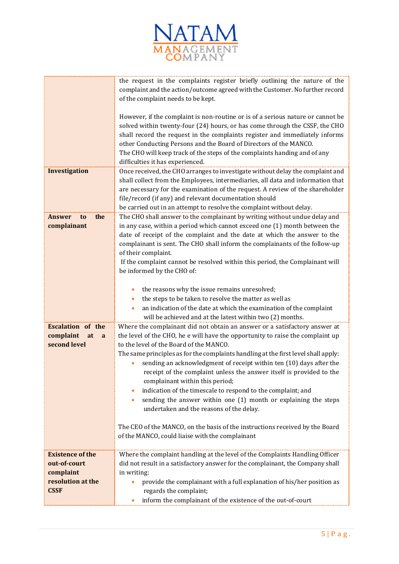

|                                                                                          | the request in the complaints register briefly outlining the nature of the<br>complaint and the action/outcome agreed with the Customer. No further record<br>of the complaint needs to be kept.                                                                                                                                                                                                                                                                                                                                                                                                                                                                                                                                                                                                               |
|------------------------------------------------------------------------------------------|----------------------------------------------------------------------------------------------------------------------------------------------------------------------------------------------------------------------------------------------------------------------------------------------------------------------------------------------------------------------------------------------------------------------------------------------------------------------------------------------------------------------------------------------------------------------------------------------------------------------------------------------------------------------------------------------------------------------------------------------------------------------------------------------------------------|
|                                                                                          | However, if the complaint is non-routine or is of a serious nature or cannot be<br>solved within twenty-four (24) hours, or has come through the CSSF, the CHO<br>shall record the request in the complaints register and immediately informs<br>other Conducting Persons and the Board of Directors of the MANCO.<br>The CHO will keep track of the steps of the complaints handing and of any<br>difficulties it has experienced.                                                                                                                                                                                                                                                                                                                                                                            |
| <b>Investigation</b>                                                                     | Once received, the CHO arranges to investigate without delay the complaint and<br>shall collect from the Employees, intermediaries, all data and information that<br>are necessary for the examination of the request. A review of the shareholder<br>file/record (if any) and relevant documentation should<br>be carried out in an attempt to resolve the complaint without delay.                                                                                                                                                                                                                                                                                                                                                                                                                           |
| the<br>Answer<br>t <sub>0</sub><br>complainant                                           | The CHO shall answer to the complainant by writing without undue delay and<br>in any case, within a period which cannot exceed one (1) month between the<br>date of receipt of the complaint and the date at which the answer to the<br>complainant is sent. The CHO shall inform the complainants of the follow-up<br>of their complaint.<br>If the complaint cannot be resolved within this period, the Complainant will<br>be informed by the CHO of:                                                                                                                                                                                                                                                                                                                                                       |
|                                                                                          | the reasons why the issue remains unresolved;<br>the steps to be taken to resolve the matter as well as<br>an indication of the date at which the examination of the complaint<br>will be achieved and at the latest within two (2) months.                                                                                                                                                                                                                                                                                                                                                                                                                                                                                                                                                                    |
| <b>Escalation of the</b><br>complaint<br>at<br>a<br>second level                         | Where the complainant did not obtain an answer or a satisfactory answer at<br>the level of the CHO, he e will have the opportunity to raise the complaint up<br>to the level of the Board of the MANCO.<br>The same principles as for the complaints handling at the first level shall apply:<br>sending an acknowledgment of receipt within ten (10) days after the<br>receipt of the complaint unless the answer itself is provided to the<br>complainant within this period;<br>indication of the timescale to respond to the complaint; and<br>sending the answer within one (1) month or explaining the steps<br>$\bullet$<br>undertaken and the reasons of the delay.<br>The CEO of the MANCO, on the basis of the instructions received by the Board<br>of the MANCO, could liaise with the complainant |
| <b>Existence of the</b><br>out-of-court<br>complaint<br>resolution at the<br><b>CSSF</b> | Where the complaint handling at the level of the Complaints Handling Officer<br>did not result in a satisfactory answer for the complainant, the Company shall<br>in writing:<br>provide the complainant with a full explanation of his/her position as<br>regards the complaint;<br>inform the complainant of the existence of the out-of-court                                                                                                                                                                                                                                                                                                                                                                                                                                                               |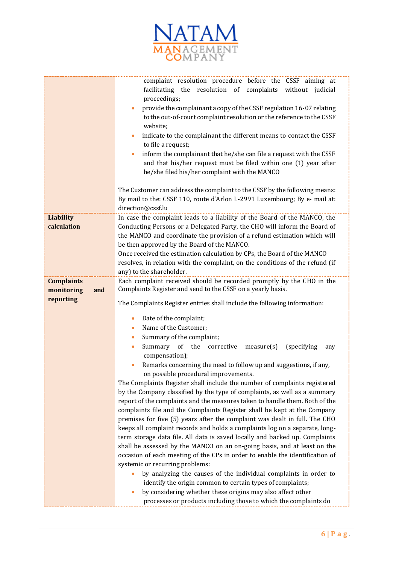

|                                 | complaint resolution procedure before the CSSF aiming at<br>facilitating the resolution of complaints without judicial<br>proceedings;<br>provide the complainant a copy of the CSSF regulation 16-07 relating<br>to the out-of-court complaint resolution or the reference to the CSSF<br>website;<br>indicate to the complainant the different means to contact the CSSF<br>to file a request;<br>inform the complainant that he/she can file a request with the CSSF<br>$\bullet$<br>and that his/her request must be filed within one (1) year after<br>he/she filed his/her complaint with the MANCO<br>The Customer can address the complaint to the CSSF by the following means:<br>By mail to the: CSSF 110, route d'Arlon L-2991 Luxembourg; By e- mail at:                                                                                                                                                                                                                                                                                                                                                                                                                                                                                                                                                                                     |
|---------------------------------|----------------------------------------------------------------------------------------------------------------------------------------------------------------------------------------------------------------------------------------------------------------------------------------------------------------------------------------------------------------------------------------------------------------------------------------------------------------------------------------------------------------------------------------------------------------------------------------------------------------------------------------------------------------------------------------------------------------------------------------------------------------------------------------------------------------------------------------------------------------------------------------------------------------------------------------------------------------------------------------------------------------------------------------------------------------------------------------------------------------------------------------------------------------------------------------------------------------------------------------------------------------------------------------------------------------------------------------------------------|
|                                 | direction@cssf.lu                                                                                                                                                                                                                                                                                                                                                                                                                                                                                                                                                                                                                                                                                                                                                                                                                                                                                                                                                                                                                                                                                                                                                                                                                                                                                                                                        |
| <b>Liability</b><br>calculation | In case the complaint leads to a liability of the Board of the MANCO, the<br>Conducting Persons or a Delegated Party, the CHO will inform the Board of<br>the MANCO and coordinate the provision of a refund estimation which will<br>be then approved by the Board of the MANCO.<br>Once received the estimation calculation by CPs, the Board of the MANCO<br>resolves, in relation with the complaint, on the conditions of the refund (if<br>any) to the shareholder.                                                                                                                                                                                                                                                                                                                                                                                                                                                                                                                                                                                                                                                                                                                                                                                                                                                                                |
| <b>Complaints</b>               | Each complaint received should be recorded promptly by the CHO in the                                                                                                                                                                                                                                                                                                                                                                                                                                                                                                                                                                                                                                                                                                                                                                                                                                                                                                                                                                                                                                                                                                                                                                                                                                                                                    |
| monitoring<br>and               | Complaints Register and send to the CSSF on a yearly basis.                                                                                                                                                                                                                                                                                                                                                                                                                                                                                                                                                                                                                                                                                                                                                                                                                                                                                                                                                                                                                                                                                                                                                                                                                                                                                              |
| reporting                       | The Complaints Register entries shall include the following information:                                                                                                                                                                                                                                                                                                                                                                                                                                                                                                                                                                                                                                                                                                                                                                                                                                                                                                                                                                                                                                                                                                                                                                                                                                                                                 |
|                                 | Date of the complaint;<br>$\bullet$<br>Name of the Customer;<br>$\bullet$<br>Summary of the complaint;<br>$\bullet$<br>Summary of the<br>corrective measure(s)<br>(specifying)<br>any<br>compensation);<br>Remarks concerning the need to follow up and suggestions, if any,<br>on possible procedural improvements.<br>The Complaints Register shall include the number of complaints registered<br>by the Company classified by the type of complaints, as well as a summary<br>report of the complaints and the measures taken to handle them. Both of the<br>complaints file and the Complaints Register shall be kept at the Company<br>premises for five (5) years after the complaint was dealt in full. The CHO<br>keeps all complaint records and holds a complaints log on a separate, long-<br>term storage data file. All data is saved locally and backed up. Complaints<br>shall be assessed by the MANCO on an on-going basis, and at least on the<br>occasion of each meeting of the CPs in order to enable the identification of<br>systemic or recurring problems:<br>by analyzing the causes of the individual complaints in order to<br>identify the origin common to certain types of complaints;<br>by considering whether these origins may also affect other<br>processes or products including those to which the complaints do |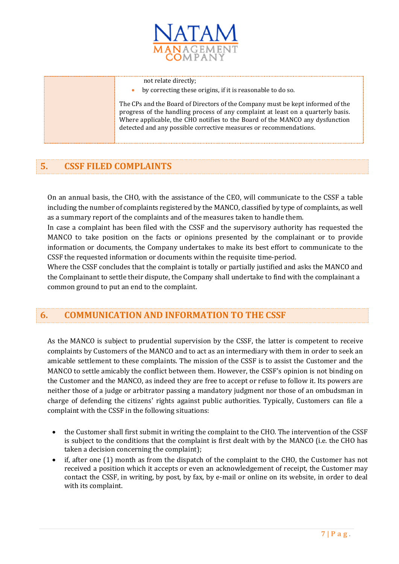

not relate directly;

by correcting these origins, if it is reasonable to do so.

The CPs and the Board of Directors of the Company must be kept informed of the progress of the handling process of any complaint at least on a quarterly basis. Where applicable, the CHO notifies to the Board of the MANCO any dysfunction detected and any possible corrective measures or recommendations.

# **5. CSSF FILED COMPLAINTS**

On an annual basis, the CHO, with the assistance of the CEO, will communicate to the CSSF a table including the number of complaints registered by the MANCO, classified by type of complaints, as well as a summary report of the complaints and of the measures taken to handle them.

In case a complaint has been filed with the CSSF and the supervisory authority has requested the MANCO to take position on the facts or opinions presented by the complainant or to provide information or documents, the Company undertakes to make its best effort to communicate to the CSSF the requested information or documents within the requisite time-period.

Where the CSSF concludes that the complaint is totally or partially justified and asks the MANCO and the Complainant to settle their dispute, the Company shall undertake to find with the complainant a common ground to put an end to the complaint.

## **6. COMMUNICATION AND INFORMATION TO THE CSSF**

As the MANCO is subject to prudential supervision by the CSSF, the latter is competent to receive complaints by Customers of the MANCO and to act as an intermediary with them in order to seek an amicable settlement to these complaints. The mission of the CSSF is to assist the Customer and the MANCO to settle amicably the conflict between them. However, the CSSF's opinion is not binding on the Customer and the MANCO, as indeed they are free to accept or refuse to follow it. Its powers are neither those of a judge or arbitrator passing a mandatory judgment nor those of an ombudsman in charge of defending the citizens' rights against public authorities. Typically, Customers can file a complaint with the CSSF in the following situations:

- the Customer shall first submit in writing the complaint to the CHO. The intervention of the CSSF is subject to the conditions that the complaint is first dealt with by the MANCO (i.e. the CHO has taken a decision concerning the complaint);
- if, after one (1) month as from the dispatch of the complaint to the CHO, the Customer has not received a position which it accepts or even an acknowledgement of receipt, the Customer may contact the CSSF, in writing, by post, by fax, by e-mail or online on its website, in order to deal with its complaint.